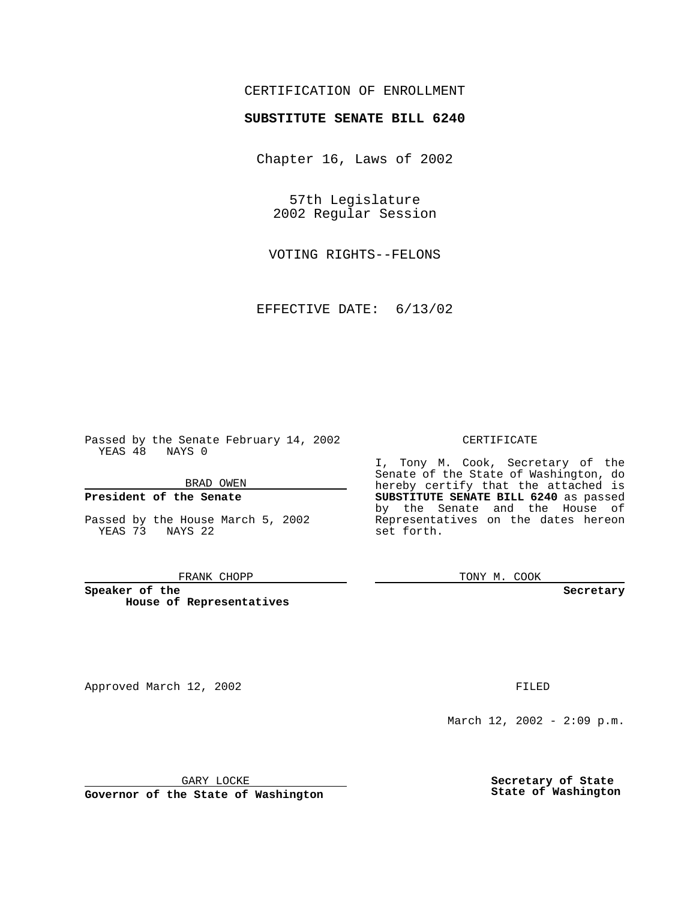## CERTIFICATION OF ENROLLMENT

# **SUBSTITUTE SENATE BILL 6240**

Chapter 16, Laws of 2002

57th Legislature 2002 Regular Session

VOTING RIGHTS--FELONS

EFFECTIVE DATE: 6/13/02

Passed by the Senate February 14, 2002 YEAS 48 NAYS 0

### BRAD OWEN

### **President of the Senate**

Passed by the House March 5, 2002 YEAS 73 NAYS 22

#### FRANK CHOPP

**Speaker of the House of Representatives**

Approved March 12, 2002 **FILED** 

### CERTIFICATE

I, Tony M. Cook, Secretary of the Senate of the State of Washington, do hereby certify that the attached is **SUBSTITUTE SENATE BILL 6240** as passed by the Senate and the House of Representatives on the dates hereon set forth.

TONY M. COOK

**Secretary**

March 12, 2002 - 2:09 p.m.

GARY LOCKE

**Governor of the State of Washington**

**Secretary of State State of Washington**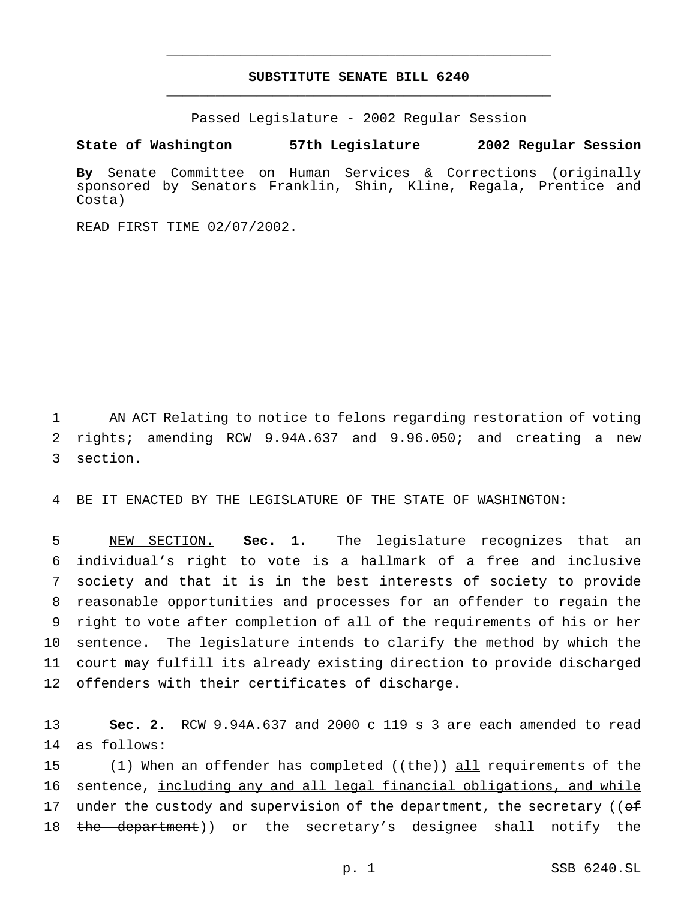# **SUBSTITUTE SENATE BILL 6240** \_\_\_\_\_\_\_\_\_\_\_\_\_\_\_\_\_\_\_\_\_\_\_\_\_\_\_\_\_\_\_\_\_\_\_\_\_\_\_\_\_\_\_\_\_\_\_

\_\_\_\_\_\_\_\_\_\_\_\_\_\_\_\_\_\_\_\_\_\_\_\_\_\_\_\_\_\_\_\_\_\_\_\_\_\_\_\_\_\_\_\_\_\_\_

Passed Legislature - 2002 Regular Session

**State of Washington 57th Legislature 2002 Regular Session**

**By** Senate Committee on Human Services & Corrections (originally sponsored by Senators Franklin, Shin, Kline, Regala, Prentice and Costa)

READ FIRST TIME 02/07/2002.

1 AN ACT Relating to notice to felons regarding restoration of voting 2 rights; amending RCW 9.94A.637 and 9.96.050; and creating a new 3 section.

4 BE IT ENACTED BY THE LEGISLATURE OF THE STATE OF WASHINGTON:

 NEW SECTION. **Sec. 1.** The legislature recognizes that an individual's right to vote is a hallmark of a free and inclusive society and that it is in the best interests of society to provide reasonable opportunities and processes for an offender to regain the right to vote after completion of all of the requirements of his or her sentence. The legislature intends to clarify the method by which the court may fulfill its already existing direction to provide discharged offenders with their certificates of discharge.

13 **Sec. 2.** RCW 9.94A.637 and 2000 c 119 s 3 are each amended to read 14 as follows:

15 (1) When an offender has completed ((the)) all requirements of the 16 sentence, including any and all legal financial obligations, and while 17 under the custody and supervision of the department, the secretary ((of 18 the department)) or the secretary's designee shall notify the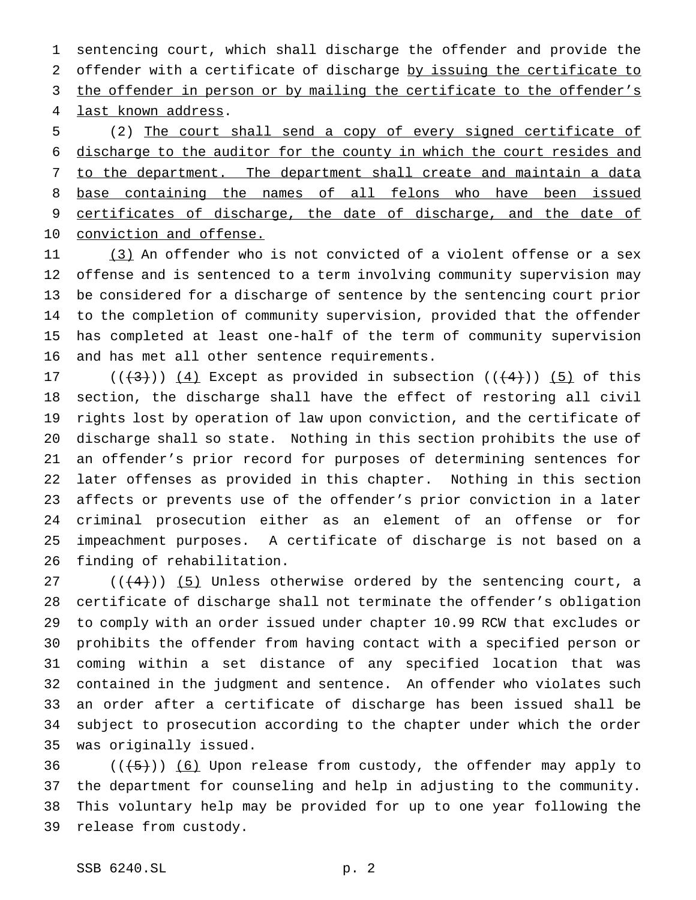sentencing court, which shall discharge the offender and provide the offender with a certificate of discharge by issuing the certificate to 3 the offender in person or by mailing the certificate to the offender's last known address.

 (2) The court shall send a copy of every signed certificate of discharge to the auditor for the county in which the court resides and to the department. The department shall create and maintain a data 8 base containing the names of all felons who have been issued certificates of discharge, the date of discharge, and the date of conviction and offense.

11 (3) An offender who is not convicted of a violent offense or a sex offense and is sentenced to a term involving community supervision may be considered for a discharge of sentence by the sentencing court prior to the completion of community supervision, provided that the offender has completed at least one-half of the term of community supervision and has met all other sentence requirements.

 $((+3))$   $(4)$  Except as provided in subsection  $((+4))$   $(5)$  of this section, the discharge shall have the effect of restoring all civil rights lost by operation of law upon conviction, and the certificate of discharge shall so state. Nothing in this section prohibits the use of an offender's prior record for purposes of determining sentences for later offenses as provided in this chapter. Nothing in this section affects or prevents use of the offender's prior conviction in a later criminal prosecution either as an element of an offense or for impeachment purposes. A certificate of discharge is not based on a finding of rehabilitation.

27 ( $(\frac{4}{3})$ ) (5) Unless otherwise ordered by the sentencing court, a certificate of discharge shall not terminate the offender's obligation to comply with an order issued under chapter 10.99 RCW that excludes or prohibits the offender from having contact with a specified person or coming within a set distance of any specified location that was contained in the judgment and sentence. An offender who violates such an order after a certificate of discharge has been issued shall be subject to prosecution according to the chapter under which the order was originally issued.

 $((+5))$   $(6)$  Upon release from custody, the offender may apply to the department for counseling and help in adjusting to the community. This voluntary help may be provided for up to one year following the release from custody.